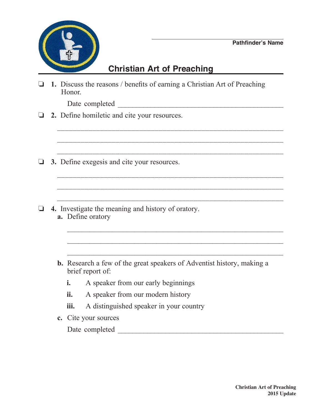

## **Christian Art of Preaching**

 $\_$  ,  $\_$  ,  $\_$  ,  $\_$  ,  $\_$  ,  $\_$  ,  $\_$  ,  $\_$  ,  $\_$  ,  $\_$  ,  $\_$  ,  $\_$  ,  $\_$  ,  $\_$  ,  $\_$  ,  $\_$  ,  $\_$  ,  $\_$  ,  $\_$  ,  $\_$ 

\_\_\_\_\_\_\_\_\_\_\_\_\_\_\_\_\_\_\_\_\_\_\_\_\_\_\_\_\_\_\_\_\_\_\_\_\_\_\_\_\_\_\_\_\_\_\_\_\_\_\_\_\_\_\_\_\_\_

o **1.** Discuss the reasons / benefits of earning a Christian Art of Preaching Honor.

Date completed  $\blacksquare$ 

- **2.** Define homiletic and cite your resources.
- **3.** Define exegesis and cite your resources.
- o **4.** Investigate the meaning and history of oratory. **a.** Define oratory
	- **b.** Research a few of the great speakers of Adventist history, making a brief report of:

 $\mathcal{L}_\text{max} = \frac{1}{2} \sum_{i=1}^{n} \frac{1}{2} \sum_{i=1}^{n} \frac{1}{2} \sum_{i=1}^{n} \frac{1}{2} \sum_{i=1}^{n} \frac{1}{2} \sum_{i=1}^{n} \frac{1}{2} \sum_{i=1}^{n} \frac{1}{2} \sum_{i=1}^{n} \frac{1}{2} \sum_{i=1}^{n} \frac{1}{2} \sum_{i=1}^{n} \frac{1}{2} \sum_{i=1}^{n} \frac{1}{2} \sum_{i=1}^{n} \frac{1}{2} \sum_{i=1}^{n} \frac{1$ 

 $\frac{1}{2}$  ,  $\frac{1}{2}$  ,  $\frac{1}{2}$  ,  $\frac{1}{2}$  ,  $\frac{1}{2}$  ,  $\frac{1}{2}$  ,  $\frac{1}{2}$  ,  $\frac{1}{2}$  ,  $\frac{1}{2}$  ,  $\frac{1}{2}$  ,  $\frac{1}{2}$  ,  $\frac{1}{2}$  ,  $\frac{1}{2}$  ,  $\frac{1}{2}$  ,  $\frac{1}{2}$  ,  $\frac{1}{2}$  ,  $\frac{1}{2}$  ,  $\frac{1}{2}$  ,  $\frac{1$ 

 $\overline{\phantom{a}}$  ,  $\overline{\phantom{a}}$  ,  $\overline{\phantom{a}}$  ,  $\overline{\phantom{a}}$  ,  $\overline{\phantom{a}}$  ,  $\overline{\phantom{a}}$  ,  $\overline{\phantom{a}}$  ,  $\overline{\phantom{a}}$  ,  $\overline{\phantom{a}}$  ,  $\overline{\phantom{a}}$  ,  $\overline{\phantom{a}}$  ,  $\overline{\phantom{a}}$  ,  $\overline{\phantom{a}}$  ,  $\overline{\phantom{a}}$  ,  $\overline{\phantom{a}}$  ,  $\overline{\phantom{a}}$ 

\_\_\_\_\_\_\_\_\_\_\_\_\_\_\_\_\_\_\_\_\_\_\_\_\_\_\_\_\_\_\_\_\_\_\_\_\_\_\_\_\_\_\_\_\_\_\_\_\_\_\_\_\_\_\_\_\_\_

\_\_\_\_\_\_\_\_\_\_\_\_\_\_\_\_\_\_\_\_\_\_\_\_\_\_\_\_\_\_\_\_\_\_\_\_\_\_\_\_\_\_\_\_\_\_\_\_\_\_\_\_\_\_\_\_\_\_

- **i.** A speaker from our early beginnings
- **ii.** A speaker from our modern history
- **iii.** A distinguished speaker in your country
- **c.** Cite your sources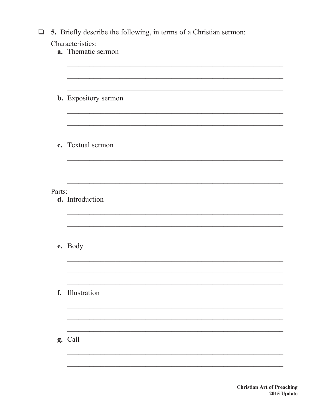|  |  |  |  |  | $\Box$ 5. Briefly describe the following, in terms of a Christian sermon: |  |  |  |  |  |
|--|--|--|--|--|---------------------------------------------------------------------------|--|--|--|--|--|
|--|--|--|--|--|---------------------------------------------------------------------------|--|--|--|--|--|

|        | Characteristics:            |
|--------|-----------------------------|
|        | a. Thematic sermon          |
|        |                             |
|        | <b>b.</b> Expository sermon |
|        |                             |
|        | c. Textual sermon           |
|        |                             |
| Parts: | d. Introduction             |
|        | e. Body                     |
| f.     | Illustration                |
|        | g. Call                     |
|        |                             |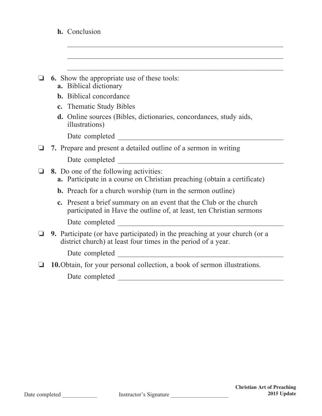|  | h. Conclusion |
|--|---------------|
|  |               |

|  |  |  |  | $\Box$ 6. Show the appropriate use of these tools: |  |  |  |  |
|--|--|--|--|----------------------------------------------------|--|--|--|--|
|--|--|--|--|----------------------------------------------------|--|--|--|--|

- **a.** Biblical dictionary
- **b.** Biblical concordance
- **c.** Thematic Study Bibles
- **d.** Online sources (Bibles, dictionaries, concordances, study aids, illustrations)

 $\mathcal{L}_\text{max} = \frac{1}{2} \sum_{i=1}^{n} \frac{1}{2} \sum_{i=1}^{n} \frac{1}{2} \sum_{i=1}^{n} \frac{1}{2} \sum_{i=1}^{n} \frac{1}{2} \sum_{i=1}^{n} \frac{1}{2} \sum_{i=1}^{n} \frac{1}{2} \sum_{i=1}^{n} \frac{1}{2} \sum_{i=1}^{n} \frac{1}{2} \sum_{i=1}^{n} \frac{1}{2} \sum_{i=1}^{n} \frac{1}{2} \sum_{i=1}^{n} \frac{1}{2} \sum_{i=1}^{n} \frac{1$ 

 $\frac{1}{2}$  ,  $\frac{1}{2}$  ,  $\frac{1}{2}$  ,  $\frac{1}{2}$  ,  $\frac{1}{2}$  ,  $\frac{1}{2}$  ,  $\frac{1}{2}$  ,  $\frac{1}{2}$  ,  $\frac{1}{2}$  ,  $\frac{1}{2}$  ,  $\frac{1}{2}$  ,  $\frac{1}{2}$  ,  $\frac{1}{2}$  ,  $\frac{1}{2}$  ,  $\frac{1}{2}$  ,  $\frac{1}{2}$  ,  $\frac{1}{2}$  ,  $\frac{1}{2}$  ,  $\frac{1$ 

 $\mathcal{L}_\text{max} = \frac{1}{2} \sum_{i=1}^n \frac{1}{2} \sum_{i=1}^n \frac{1}{2} \sum_{i=1}^n \frac{1}{2} \sum_{i=1}^n \frac{1}{2} \sum_{i=1}^n \frac{1}{2} \sum_{i=1}^n \frac{1}{2} \sum_{i=1}^n \frac{1}{2} \sum_{i=1}^n \frac{1}{2} \sum_{i=1}^n \frac{1}{2} \sum_{i=1}^n \frac{1}{2} \sum_{i=1}^n \frac{1}{2} \sum_{i=1}^n \frac{1}{2} \sum_{i=1}^n$ 

Date completed \_\_\_\_\_\_\_\_\_\_\_\_\_\_\_\_\_\_\_\_\_\_\_\_\_\_\_\_\_\_\_\_\_\_\_\_\_\_\_\_\_\_\_\_\_

|                | $\Box$ 7. Prepare and present a detailed outline of a sermon in writing |
|----------------|-------------------------------------------------------------------------|
| Date completed |                                                                         |

- **3.** Do one of the following activities: **a.** Participate in a course on Christian preaching (obtain a certificate)
	- **b.** Preach for a church worship (turn in the sermon outline)
	- **c.** Present a brief summary on an event that the Club or the church participated in Have the outline of, at least, ten Christian sermons

Date completed \_\_\_\_\_\_\_\_\_\_\_\_\_\_\_\_\_\_\_\_\_\_\_\_\_\_\_\_\_\_\_\_\_\_\_\_\_\_\_\_\_\_\_\_\_

**9.** Participate (or have participated) in the preaching at your church (or a district church) at least four times in the period of a year.

Date completed \_\_\_\_\_\_\_\_\_\_\_\_\_\_\_\_\_\_\_\_\_\_\_\_\_\_\_\_\_\_\_\_\_\_\_\_\_\_\_\_\_\_\_\_\_

o **10.**Obtain, for your personal collection, a book of sermon illustrations.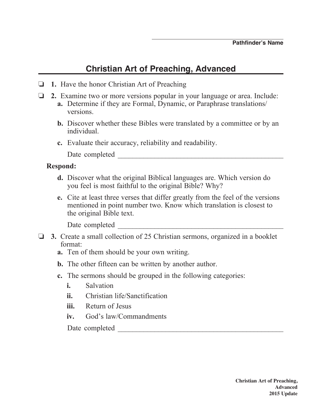## **Christian Art of Preaching, Advanced**

- **1.** Have the honor Christian Art of Preaching
- o **2.** Examine two or more versions popular in your language or area. Include:
	- **a.** Determine if they are Formal, Dynamic, or Paraphrase translations/ versions.
	- **b.** Discover whether these Bibles were translated by a committee or by an individual.
	- **c.** Evaluate their accuracy, reliability and readability.

Date completed \_\_\_\_\_\_\_\_\_\_\_\_\_\_\_\_\_\_\_\_\_\_\_\_\_\_\_\_\_\_\_\_\_\_\_\_\_\_\_\_\_\_\_\_\_

## **Respond:**

- **d.** Discover what the original Biblical languages are. Which version do you feel is most faithful to the original Bible? Why?
- **e.** Cite at least three verses that differ greatly from the feel of the versions mentioned in point number two. Know which translation is closest to the original Bible text.

Date completed  $\Box$ 

- **3.** Create a small collection of 25 Christian sermons, organized in a booklet format:
	- **a.** Ten of them should be your own writing.
	- **b.** The other fifteen can be written by another author.
	- **c.** The sermons should be grouped in the following categories:
		- **i.** Salvation
		- **ii.** Christian life/Sanctification
		- **iii.** Return of Jesus
		- **iv.** God's law/Commandments